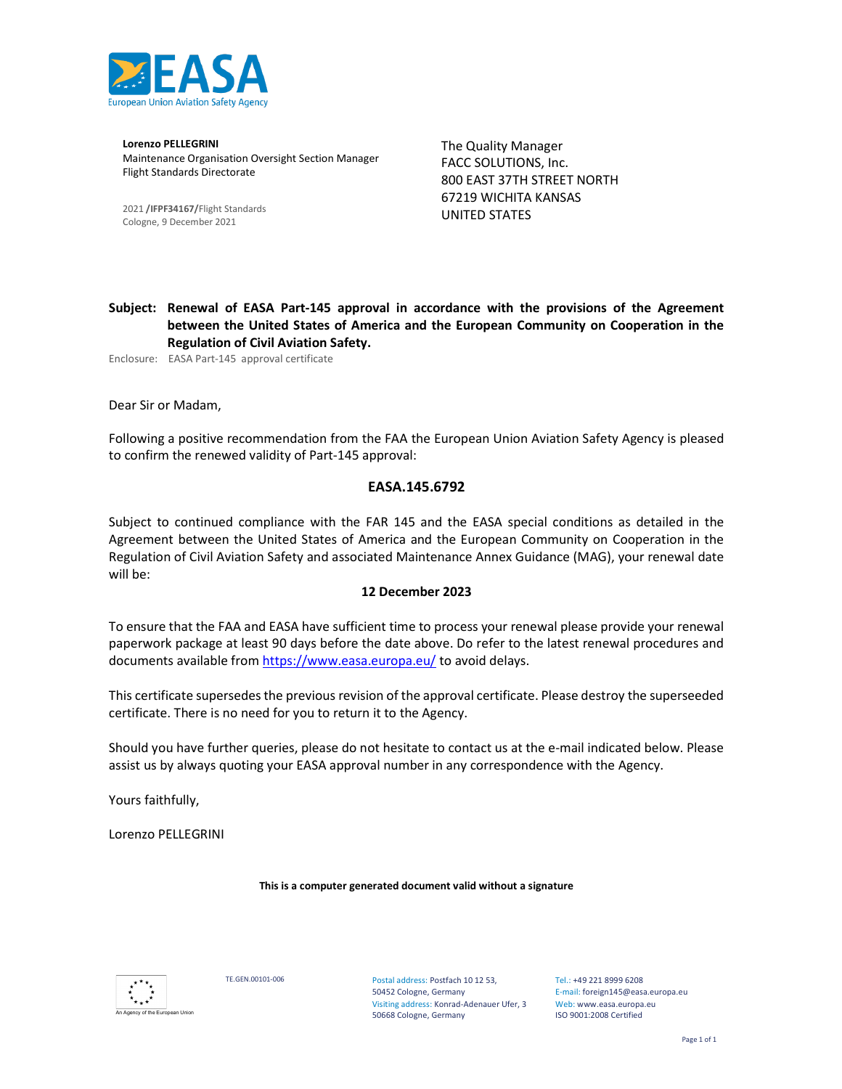

Lorenzo PELLEGRINI Maintenance Organisation Oversight Section Manager Flight Standards Directorate

2021 /IFPF34167/Flight Standards Cologne, 9 December 2021

The Quality Manager FACC SOLUTIONS, Inc. 800 EAST 37TH STREET NORTH 67219 WICHITA KANSAS UNITED STATES

Subject: Renewal of EASA Part-145 approval in accordance with the provisions of the Agreement between the United States of America and the European Community on Cooperation in the Regulation of Civil Aviation Safety.

Enclosure: EASA Part-145 approval certificate

Dear Sir or Madam,

Following a positive recommendation from the FAA the European Union Aviation Safety Agency is pleased to confirm the renewed validity of Part-145 approval:

#### EASA.145.6792

Subject to continued compliance with the FAR 145 and the EASA special conditions as detailed in the Agreement between the United States of America and the European Community on Cooperation in the Regulation of Civil Aviation Safety and associated Maintenance Annex Guidance (MAG), your renewal date will be:

#### 12 December 2023

To ensure that the FAA and EASA have sufficient time to process your renewal please provide your renewal paperwork package at least 90 days before the date above. Do refer to the latest renewal procedures and documents available from https://www.easa.europa.eu/ to avoid delays.

This certificate supersedes the previous revision of the approval certificate. Please destroy the superseeded certificate. There is no need for you to return it to the Agency.

Should you have further queries, please do not hesitate to contact us at the e-mail indicated below. Please assist us by always quoting your EASA approval number in any correspondence with the Agency.

Yours faithfully,

Lorenzo PELLEGRINI

This is a computer generated document valid without a signature



TE.GEN.00101-006 Postal address: Postfach 10 12 53, 50452 Cologne, Germany Visiting address: Konrad-Adenauer Ufer, 3 50668 Cologne, Germany

Tel.: +49 221 8999 6208 E-mail: foreign145@easa.europa.eu Web: www.easa.europa.eu ISO 9001:2008 Certified